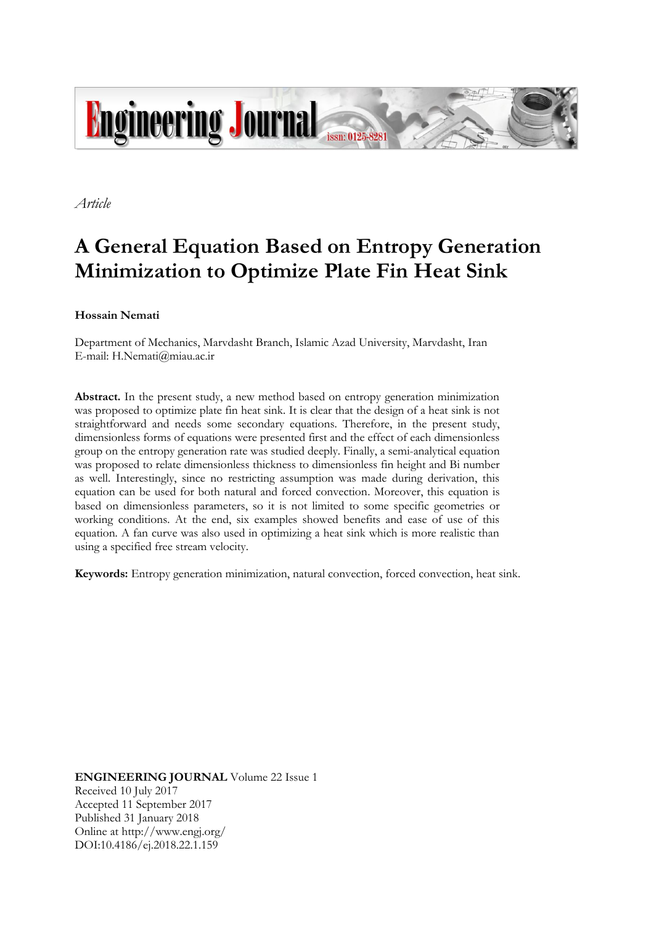

*Article*

# **A General Equation Based on Entropy Generation Minimization to Optimize Plate Fin Heat Sink**

**Hossain Nemati**

Department of Mechanics, Marvdasht Branch, Islamic Azad University, Marvdasht, Iran E-mail: H.Nemati@miau.ac.ir

**Abstract.** In the present study, a new method based on entropy generation minimization was proposed to optimize plate fin heat sink. It is clear that the design of a heat sink is not straightforward and needs some secondary equations. Therefore, in the present study, dimensionless forms of equations were presented first and the effect of each dimensionless group on the entropy generation rate was studied deeply. Finally, a semi-analytical equation was proposed to relate dimensionless thickness to dimensionless fin height and Bi number as well. Interestingly, since no restricting assumption was made during derivation, this equation can be used for both natural and forced convection. Moreover, this equation is based on dimensionless parameters, so it is not limited to some specific geometries or working conditions. At the end, six examples showed benefits and ease of use of this equation. A fan curve was also used in optimizing a heat sink which is more realistic than using a specified free stream velocity.

**Keywords:** Entropy generation minimization, natural convection, forced convection, heat sink.

**ENGINEERING JOURNAL** Volume 22 Issue 1 Received 10 July 2017 Accepted 11 September 2017 Published 31 January 2018 Online at http://www.engj.org/ DOI:10.4186/ej.2018.22.1.159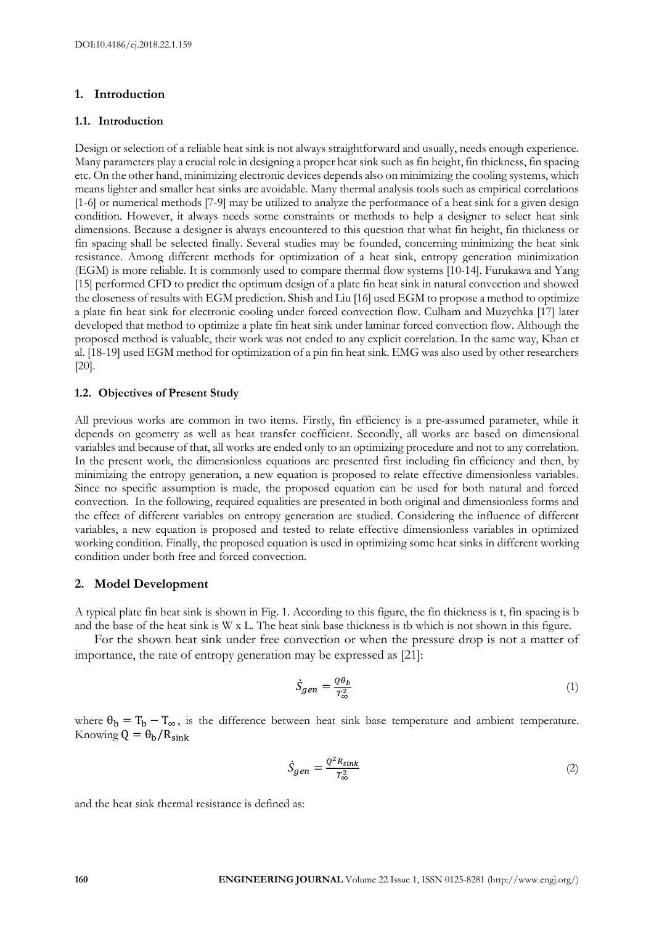# **1. Introduction**

#### **1.1. Introduction**

Design or selection of a reliable heat sink is not always straightforward and usually, needs enough experience. Many parameters play a crucial role in designing a proper heat sink such as fin height, fin thickness, fin spacing etc. On the other hand, minimizing electronic devices depends also on minimizing the cooling systems, which means lighter and smaller heat sinks are avoidable. Many thermal analysis tools such as empirical correlations [1-6] or numerical methods [7-9] may be utilized to analyze the performance of a heat sink for a given design condition. However, it always needs some constraints or methods to help a designer to select heat sink dimensions. Because a designer is always encountered to this question that what fin height, fin thickness or fin spacing shall be selected finally. Several studies may be founded, concerning minimizing the heat sink resistance. Among different methods for optimization of a heat sink, entropy generation minimization (EGM) is more reliable. It is commonly used to compare thermal flow systems [10-14]. Furukawa and Yang [15] performed CFD to predict the optimum design of a plate fin heat sink in natural convection and showed the closeness of results with EGM prediction. Shish and Liu [16] used EGM to propose a method to optimize a plate fin heat sink for electronic cooling under forced convection flow. Culham and Muzychka [17] later developed that method to optimize a plate fin heat sink under laminar forced convection flow. Although the proposed method is valuable, their work was not ended to any explicit correlation. In the same way, Khan et al. [18-19] used EGM method for optimization of a pin fin heat sink. EMG was also used by other researchers [20].

#### **1.2. Objectives of Present Study**

All previous works are common in two items. Firstly, fin efficiency is a pre-assumed parameter, while it depends on geometry as well as heat transfer coefficient. Secondly, all works are based on dimensional variables and because of that, all works are ended only to an optimizing procedure and not to any correlation. In the present work, the dimensionless equations are presented first including fin efficiency and then, by minimizing the entropy generation, a new equation is proposed to relate effective dimensionless variables. Since no specific assumption is made, the proposed equation can be used for both natural and forced convection. In the following, required equalities are presented in both original and dimensionless forms and the effect of different variables on entropy generation are studied. Considering the influence of different variables, a new equation is proposed and tested to relate effective dimensionless variables in optimized working condition. Finally, the proposed equation is used in optimizing some heat sinks in different working condition under both free and forced convection.

# **2. Model Development**

A typical plate fin heat sink is shown in Fig. 1. According to this figure, the fin thickness is t, fin spacing is b and the base of the heat sink is W x L. The heat sink base thickness is tb which is not shown in this figure.

For the shown heat sink under free convection or when the pressure drop is not a matter of importance, the rate of entropy generation may be expressed as [21]:

$$
\dot{S}_{gen} = \frac{Q\theta_b}{T_{\infty}^2} \tag{1}
$$

where  $\theta_b = T_b - T_{\infty}$ , is the difference between heat sink base temperature and ambient temperature. Knowing  $Q = \theta_b / R_{sink}$ 

$$
\dot{S}_{gen} = \frac{Q^2 R_{sink}}{T_{\infty}^2} \tag{2}
$$

and the heat sink thermal resistance is defined as: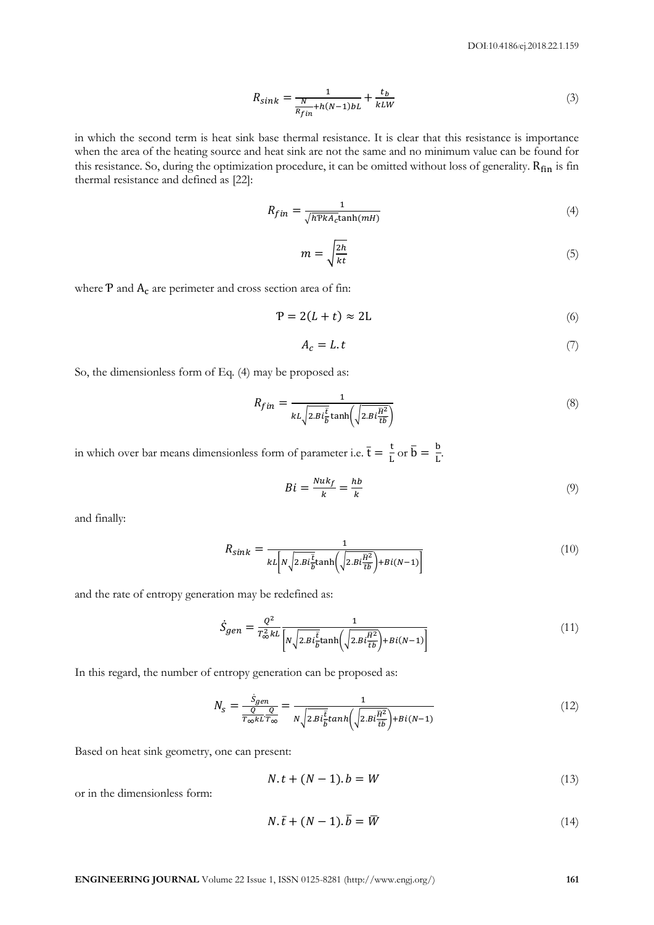$$
R_{sink} = \frac{1}{\frac{N}{R_{fin} + h(N-1)bL} + \frac{t_b}{kLW}}
$$
\n<sup>(3)</sup>

in which the second term is heat sink base thermal resistance. It is clear that this resistance is importance when the area of the heating source and heat sink are not the same and no minimum value can be found for this resistance. So, during the optimization procedure, it can be omitted without loss of generality. Rfin is fin thermal resistance and defined as [22]:

$$
R_{fin} = \frac{1}{\sqrt{h\text{P}kA_c}\tanh(mH)}\tag{4}
$$

$$
m = \sqrt{\frac{2h}{kt}}\tag{5}
$$

where  $P$  and  $A_c$  are perimeter and cross section area of fin:

$$
P = 2(L + t) \approx 2L \tag{6}
$$

$$
A_c = L \t\t(7)
$$

So, the dimensionless form of Eq. (4) may be proposed as:

$$
R_{fin} = \frac{1}{kL\sqrt{2.Bi\frac{\bar{t}}{\bar{b}}}\tanh\left(\sqrt{2.Bi\frac{\bar{H}^2}{\bar{t}\bar{b}}}\right)}\tag{8}
$$

in which over bar means dimensionless form of parameter i.e.  $\bar{t} = \frac{t}{t}$  $rac{\text{t}}{\text{L}}$  or  $\overline{\text{b}} = \frac{\text{b}}{\text{L}}$  $\frac{L}{L}$ 

$$
Bi = \frac{Nuk_f}{k} = \frac{hb}{k} \tag{9}
$$

and finally:

$$
R_{sink} = \frac{1}{\kappa L \left[ N \sqrt{2.Bi\frac{\bar{t}}{\bar{b}}} \tanh\left(\sqrt{2.Bi\frac{\bar{H}^2}{\bar{t}\bar{b}}}\right) + Bi(N-1) \right]}\tag{10}
$$

and the rate of entropy generation may be redefined as:

$$
\dot{S}_{gen} = \frac{Q^2}{T_{\infty}^2 k L} \frac{1}{\left[ N \sqrt{2.Bi\frac{\bar{t}}{\bar{b}}} \tanh\left(\sqrt{2.Bi\frac{\bar{H}^2}{\bar{t}\bar{b}}}\right) + Bi(N-1) \right]}
$$
(11)

In this regard, the number of entropy generation can be proposed as:

$$
N_{S} = \frac{\dot{S}_{gen}}{\frac{Q}{T_{\infty}kL}\frac{Q}{T_{\infty}}} = \frac{1}{N\sqrt{2.Bi\frac{\bar{t}}{\bar{b}}}tanh\left(\sqrt{2.Bi\frac{\bar{H}^{2}}{\bar{t}\bar{b}}}\right) + Bi(N-1)}\tag{12}
$$

Based on heat sink geometry, one can present:

$$
N \t+ (N-1) \t b = W \t(13)
$$

or in the dimensionless form:

$$
N.\bar{t} + (N-1).\bar{b} = \bar{W}
$$
\n<sup>(14)</sup>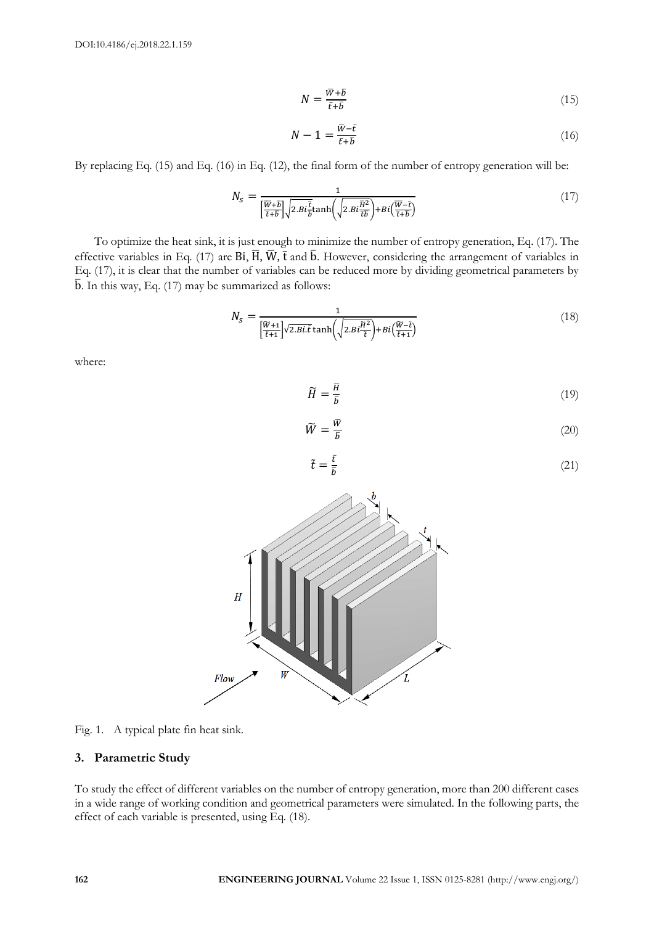$$
N = \frac{\overline{w} + \overline{b}}{\overline{t} + \overline{b}}\tag{15}
$$

$$
N - 1 = \frac{\overline{w} - \overline{t}}{\overline{t} + \overline{b}}\tag{16}
$$

By replacing Eq. (15) and Eq. (16) in Eq. (12), the final form of the number of entropy generation will be:

$$
N_{S} = \frac{1}{\left[\frac{\overline{W} + \overline{b}}{\overline{t} + \overline{b}}\right] \sqrt{2.Bi\frac{\overline{t}}{\overline{b}}} \tanh\left(\sqrt{2.Bi\frac{\overline{H}^{2}}{\overline{t}\overline{b}}}\right) + Bi\left(\frac{\overline{W} - \overline{t}}{\overline{t} + \overline{b}}\right)}\tag{17}
$$

To optimize the heat sink, it is just enough to minimize the number of entropy generation, Eq. (17). The effective variables in Eq. (17) are Bi,  $\overline{H}$ ,  $\overline{W}$ ,  $\overline{t}$  and  $\overline{b}$ . However, considering the arrangement of variables in Eq. (17), it is clear that the number of variables can be reduced more by dividing geometrical parameters by  $\bar{b}$ . In this way, Eq. (17) may be summarized as follows:

$$
N_{S} = \frac{1}{\left[\frac{\widetilde{W}+1}{\tilde{t}+1}\right] \sqrt{2.Bi.\tilde{t}} \tanh\left(\sqrt{2.Bi\frac{\widetilde{H}^{2}}{\tilde{t}}}\right) + Bi\left(\frac{\widetilde{W}-\tilde{t}}{\tilde{t}+1}\right)}
$$
(18)

where:

$$
\widetilde{H} = \frac{\overline{H}}{\overline{b}}\tag{19}
$$

$$
\widetilde{W} = \frac{\overline{W}}{\overline{b}} \tag{20}
$$

$$
=\frac{\bar{t}}{\bar{b}}\tag{21}
$$



 $\tilde{t}$ 

Fig. 1. A typical plate fin heat sink.

## **3. Parametric Study**

To study the effect of different variables on the number of entropy generation, more than 200 different cases in a wide range of working condition and geometrical parameters were simulated. In the following parts, the effect of each variable is presented, using Eq. (18).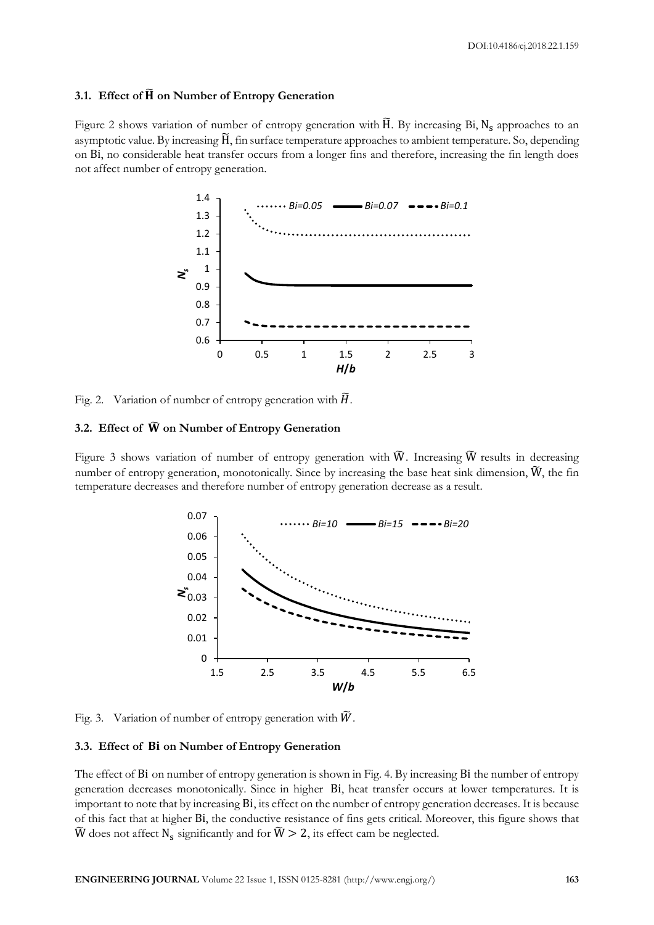## **3.1. Effect of**  $\tilde{H}$  **on Number of Entropy Generation**

Figure 2 shows variation of number of entropy generation with  $\widetilde{H}$ . By increasing Bi,  $N_s$  approaches to an asymptotic value. By increasing H̃, fin surface temperature approaches to ambient temperature. So, depending on Bi, no considerable heat transfer occurs from a longer fins and therefore, increasing the fin length does not affect number of entropy generation.



Fig. 2. Variation of number of entropy generation with  $\tilde{H}$ .

# **3.2. Effect of** ̃ **on Number of Entropy Generation**

Figure 3 shows variation of number of entropy generation with  $\widetilde{W}$ . Increasing  $\widetilde{W}$  results in decreasing number of entropy generation, monotonically. Since by increasing the base heat sink dimension,  $\tilde{W}$ , the fin temperature decreases and therefore number of entropy generation decrease as a result.



Fig. 3. Variation of number of entropy generation with  $\widetilde{W}$ .

## **3.3. Effect of on Number of Entropy Generation**

The effect of Bi on number of entropy generation is shown in Fig. 4. By increasing Bi the number of entropy generation decreases monotonically. Since in higher Bi, heat transfer occurs at lower temperatures. It is important to note that by increasing Bi, its effect on the number of entropy generation decreases. It is because of this fact that at higher Bi, the conductive resistance of fins gets critical. Moreover, this figure shows that  $\widetilde{W}$  does not affect  $N_s$  significantly and for  $\widetilde{W} > 2,$  its effect cam be neglected.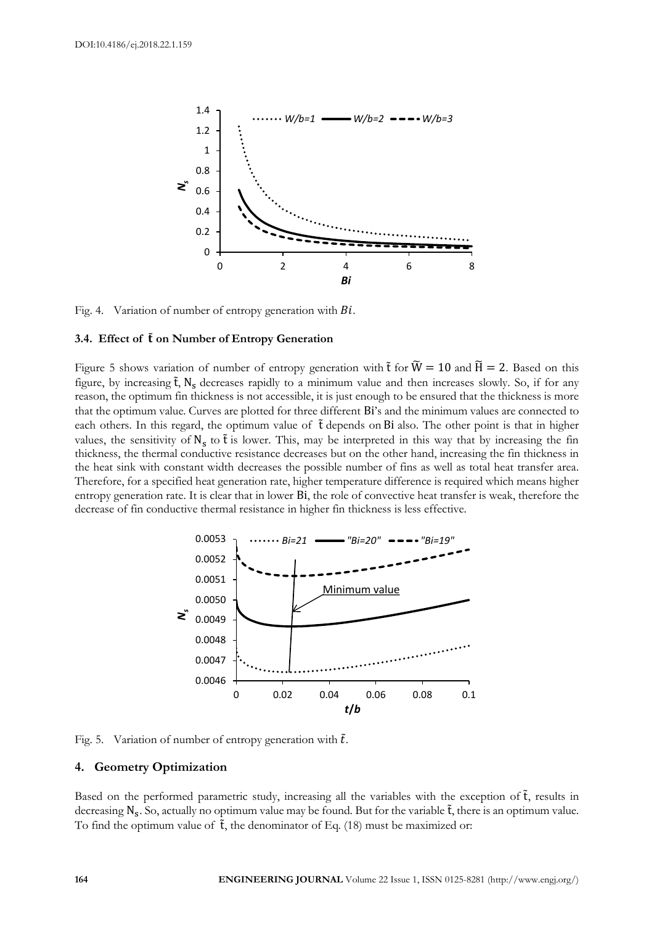

Fig. 4. Variation of number of entropy generation with  $Bi$ .

#### **3.4. Effect of** ̃**on Number of Entropy Generation**

Figure 5 shows variation of number of entropy generation with  $\tilde{t}$  for  $\tilde{W} = 10$  and  $\tilde{H} = 2$ . Based on this figure, by increasing  $\tilde{t}$ , N<sub>s</sub> decreases rapidly to a minimum value and then increases slowly. So, if for any reason, the optimum fin thickness is not accessible, it is just enough to be ensured that the thickness is more that the optimum value. Curves are plotted for three different Bi's and the minimum values are connected to each others. In this regard, the optimum value of t depends on Bi also. The other point is that in higher values, the sensitivity of  $N_s$  to  $\tilde{t}$  is lower. This, may be interpreted in this way that by increasing the fin thickness, the thermal conductive resistance decreases but on the other hand, increasing the fin thickness in the heat sink with constant width decreases the possible number of fins as well as total heat transfer area. Therefore, for a specified heat generation rate, higher temperature difference is required which means higher entropy generation rate. It is clear that in lower Bi, the role of convective heat transfer is weak, therefore the decrease of fin conductive thermal resistance in higher fin thickness is less effective.



Fig. 5. Variation of number of entropy generation with  $\tilde{t}$ .

#### **4. Geometry Optimization**

Based on the performed parametric study, increasing all the variables with the exception of  $\tilde{t}$ , results in decreasing  $N_s$ . So, actually no optimum value may be found. But for the variable  $\tilde{t}$ , there is an optimum value. To find the optimum value of  $\tilde{t}$ , the denominator of Eq. (18) must be maximized or: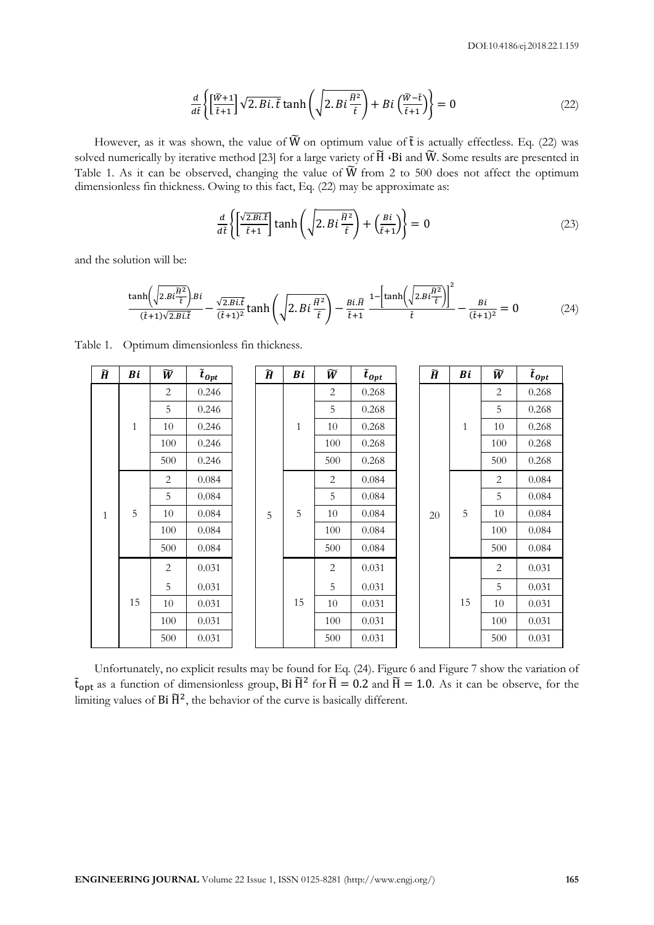$$
\frac{d}{d\tilde{t}}\left\{ \left[\frac{\tilde{W}+1}{\tilde{t}+1}\right]\sqrt{2.Bi.\tilde{t}}\tanh\left(\sqrt{2.Bi\frac{\tilde{H}^2}{\tilde{t}}}\right) + Bi\left(\frac{\tilde{W}-\tilde{t}}{\tilde{t}+1}\right)\right\} = 0\tag{22}
$$

However, as it was shown, the value of  $\widetilde{W}$  on optimum value of  $\widetilde{t}$  is actually effectless. Eq. (22) was solved numerically by iterative method [23] for a large variety of  $\widetilde{H}$   $\cdot$ Bi and  $\widetilde{W}$ . Some results are presented in Table 1. As it can be observed, changing the value of  $\widetilde{W}$  from 2 to 500 does not affect the optimum dimensionless fin thickness. Owing to this fact, Eq. (22) may be approximate as:

$$
\frac{d}{d\tilde{t}}\left\{ \left[\frac{\sqrt{2.Bi\tilde{t}}}{\tilde{t}+1}\right]\tanh\left(\sqrt{2.Bi\frac{\tilde{H}^2}{\tilde{t}}}\right) + \left(\frac{Bi}{\tilde{t}+1}\right)\right\} = 0\tag{23}
$$

and the solution will be:

$$
\frac{\tanh\left(\sqrt{2.Bi\frac{\tilde{H}^2}{\tilde{t}}}\right)Bi}{(\tilde{t}+1)\sqrt{2.Bi\tilde{t}}}-\frac{\sqrt{2.Bi\tilde{t}}}{(\tilde{t}+1)^2}\tanh\left(\sqrt{2.Bi\frac{\tilde{H}^2}{\tilde{t}}}\right)-\frac{Bi\tilde{H}}{\tilde{t}+1}\frac{1-\left[\tanh\left(\sqrt{2.Bi\frac{\tilde{H}^2}{\tilde{t}}}\right)\right]^2}{\tilde{t}}-\frac{Bi}{(\tilde{t}+1)^2}=0\tag{24}
$$

| $\widetilde{\pmb{H}}$ | Bi           | $\widetilde{W}$ | $\tilde{t}_{0pt}$ |   | $\widetilde{H}$ | Bi           | $\widetilde{W}$ | $\tilde{t}_{0pt}$ |  | $\widetilde{H}$ | Bi           | $\widetilde{W}$ | $\tilde{t}_{0pt}$ |
|-----------------------|--------------|-----------------|-------------------|---|-----------------|--------------|-----------------|-------------------|--|-----------------|--------------|-----------------|-------------------|
|                       | $\mathbf{1}$ | 2               | 0.246             |   |                 | $\mathbf{1}$ | 2               | 0.268             |  |                 | $\mathbf{1}$ | 2               | 0.268             |
|                       |              | 5               | 0.246             |   |                 |              | 5               | 0.268             |  |                 |              | 5               | 0.268             |
|                       |              | 10              | 0.246             |   |                 |              | 10              | 0.268             |  |                 |              | 10              | 0.268             |
|                       |              | 100             | 0.246             |   |                 |              | 100             | 0.268             |  |                 |              | 100             | 0.268             |
|                       |              | 500             | 0.246             |   |                 |              | 500             | 0.268             |  |                 |              | 500             | 0.268             |
| $\mathbf{1}$          | 5            | 2               | 0.084             | 5 |                 |              | 2               | 0.084             |  |                 |              | 2               | 0.084             |
|                       |              | 5               | 0.084             |   |                 | 5            | 0.084           |                   |  |                 | 5            | 0.084           |                   |
|                       |              | 10              | 0.084             |   |                 | 5            | 10              | 0.084             |  | 20              | 5            | 10              | 0.084             |
|                       |              | 100             | 0.084             |   |                 | 100          | 0.084           |                   |  |                 | 100          | 0.084           |                   |
|                       |              | 500             | 0.084             |   |                 | 500          | 0.084           |                   |  |                 | 500          | 0.084           |                   |
|                       | 15           | $\overline{2}$  | 0.031             |   |                 |              | 2               | 0.031             |  |                 |              | 2               | 0.031             |
|                       |              | 5               | 0.031             |   | 15              | 5            | 0.031           |                   |  | 15              | 5            | 0.031           |                   |
|                       |              | 10              | 0.031             |   |                 | 10           | 0.031           |                   |  |                 | 10           | 0.031           |                   |
|                       |              | 100             | 0.031             |   |                 |              | 100             | 0.031             |  |                 |              | 100             | 0.031             |
|                       |              | 500             | 0.031             |   |                 |              | 500             | 0.031             |  |                 |              | 500             | 0.031             |

Table 1. Optimum dimensionless fin thickness.

Unfortunately, no explicit results may be found for Eq. (24). Figure 6 and Figure 7 show the variation of  $\tilde{t}_{opt}$  as a function of dimensionless group, Bi  $\tilde{H}^2$  for  $\tilde{H} = 0.2$  and  $\tilde{H} = 1.0$ . As it can be observe, for the limiting values of  $Bi \tilde{H}^2$ , the behavior of the curve is basically different.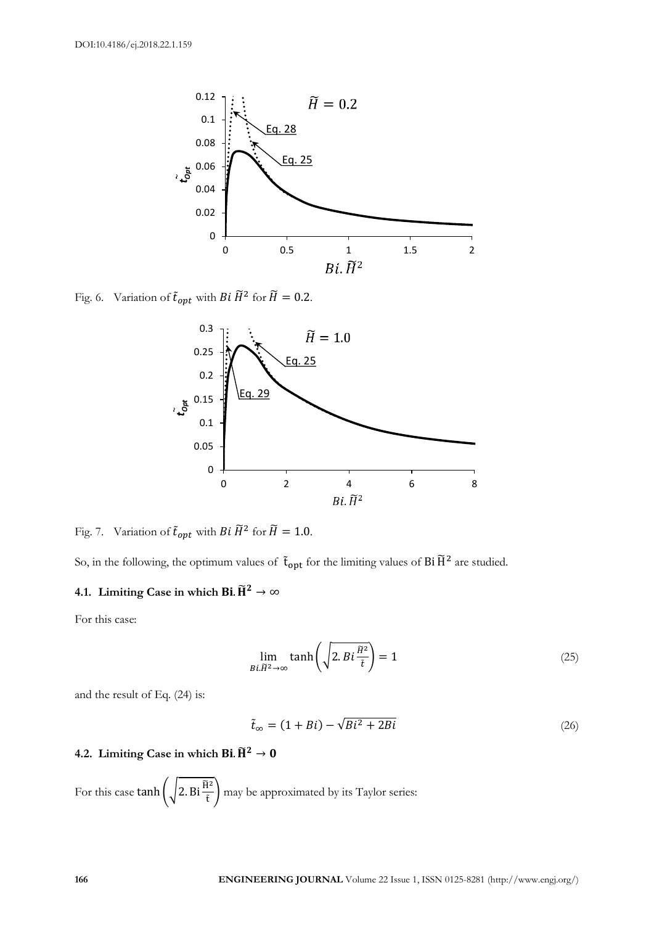

Fig. 6. Variation of  $\tilde{t}_{opt}$  with  $Bi \widetilde{H}^2$  for  $\widetilde{H} = 0.2$ .



Fig. 7. Variation of  $\tilde{t}_{opt}$  with  $Bi \widetilde{H}^2$  for  $\widetilde{H} = 1.0$ .

So, in the following, the optimum values of  $\tilde{t}_{opt}$  for the limiting values of Bi  $\tilde{H}^2$  are studied.

# **4.1.** Limiting Case in which **Bi**.  $\widetilde{H}^2 \rightarrow \infty$

For this case:

$$
\lim_{B\in\widetilde{H}^2\to\infty}\tanh\left(\sqrt{2.Bi\frac{\widetilde{H}^2}{\tilde{t}}}\right)=1
$$
\n(25)

and the result of Eq. (24) is:

$$
\tilde{t}_{\infty} = (1 + Bi) - \sqrt{Bi^2 + 2Bi} \tag{26}
$$

# **4.2.** Limiting Case in which **Bi**.  $\widetilde{H}^2 \rightarrow 0$

For this case  $\tanh\left(\sqrt{2.\text{Bi}\frac{\tilde{H}^2}{\tilde{t}}}\right)$  may be approximated by its Taylor series: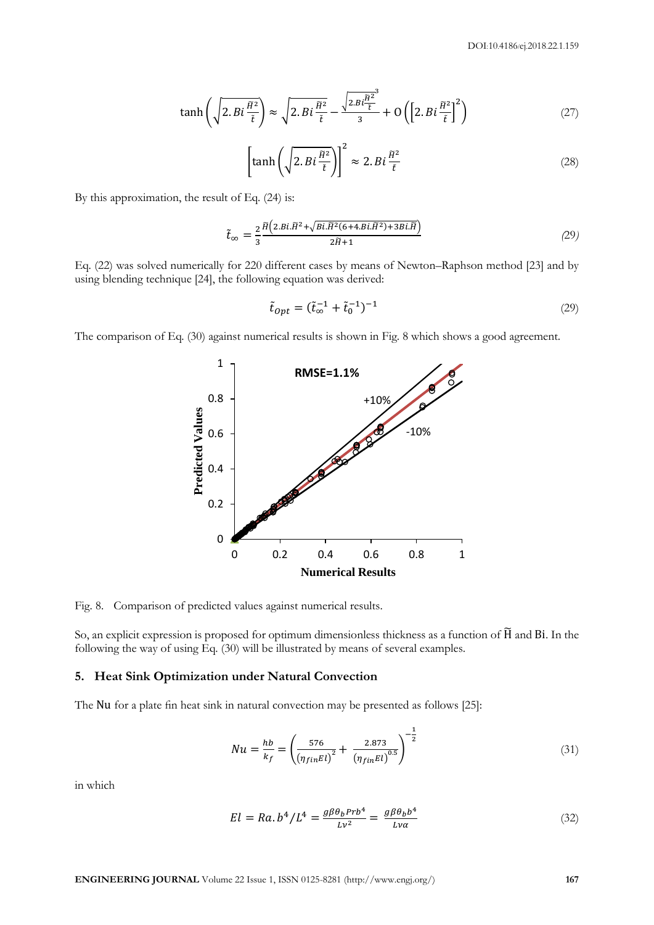$$
\tanh\left(\sqrt{2.Bi\frac{\tilde{H}^2}{\tilde{t}}}\right) \approx \sqrt{2.Bi\frac{\tilde{H}^2}{\tilde{t}} - \frac{\sqrt{2.Bi\frac{\tilde{H}^2}{\tilde{t}}^3}}{3} + O\left(\left[2.Bi\frac{\tilde{H}^2}{\tilde{t}}\right]^2\right)
$$
\n(27)

$$
\left[\tanh\left(\sqrt{2.Bi\frac{\tilde{H}^2}{\tilde{t}}}\right)\right]^2 \approx 2.Bi\frac{\tilde{H}^2}{\tilde{t}}\tag{28}
$$

By this approximation, the result of Eq. (24) is:

$$
\tilde{t}_{\infty} = \frac{2}{3} \frac{\tilde{H}\left(2.B\tilde{L}\tilde{H}^2 + \sqrt{Bi\tilde{H}^2(6+4.B\tilde{L}\tilde{H}^2) + 3Bi\tilde{H}}\right)}{2\tilde{H} + 1}
$$
\n(29)

Eq. (22) was solved numerically for 220 different cases by means of Newton–Raphson method [23] and by using blending technique [24], the following equation was derived:

$$
\tilde{t}_{0pt} = (\tilde{t}_{\infty}^{-1} + \tilde{t}_0^{-1})^{-1}
$$
\n(29)

The comparison of Eq. (30) against numerical results is shown in Fig. 8 which shows a good agreement.



Fig. 8. Comparison of predicted values against numerical results.

So, an explicit expression is proposed for optimum dimensionless thickness as a function of H̃ and Bi. In the following the way of using Eq. (30) will be illustrated by means of several examples.

#### **5. Heat Sink Optimization under Natural Convection**

The Nu for a plate fin heat sink in natural convection may be presented as follows [25]:

$$
Nu = \frac{hb}{k_f} = \left(\frac{576}{\left(\eta_{fin} El\right)^2} + \frac{2.873}{\left(\eta_{fin} El\right)^{0.5}}\right)^{-\frac{1}{2}}
$$
(31)

in which

$$
El = Ra. b4/L4 = \frac{g\beta\theta_b Prb4}{Lv2} = \frac{g\beta\theta_b b4}{Lv\alpha}
$$
 (32)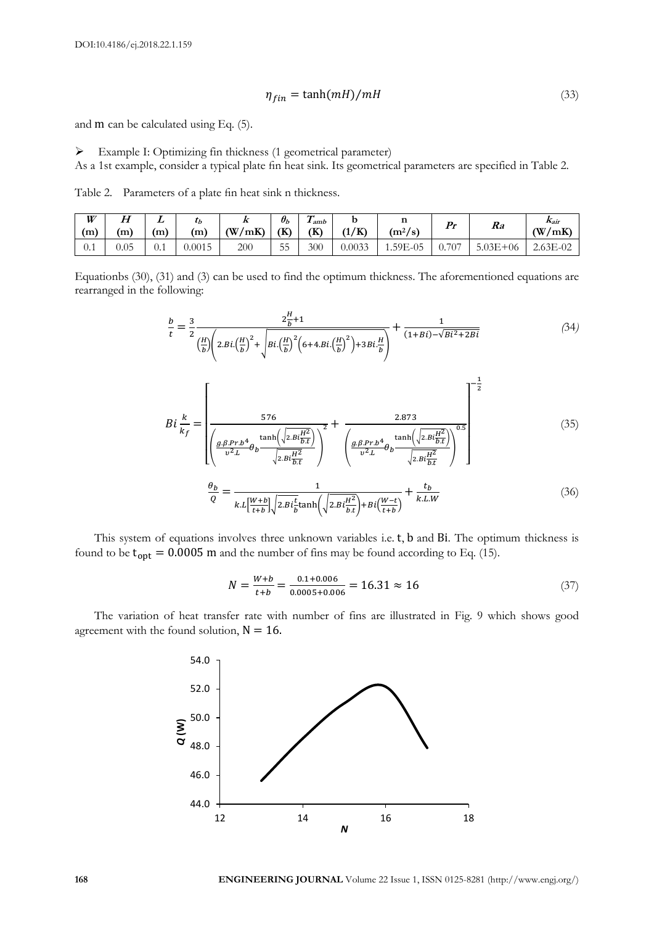$$
\eta_{fin} = \tanh(mH)/mH \tag{33}
$$

and m can be calculated using Eq. (5).

 Example I: Optimizing fin thickness (1 geometrical parameter) As a 1st example, consider a typical plate fin heat sink. Its geometrical parameters are specified in Table 2.

Table 2. Parameters of a plate fin heat sink n thickness.

| W<br>'m) | $\bm H$<br>(m | (m)      | $\iota_b$<br>(m) | $\overline{\mathbf{A}}$<br>$(\mathbf{W})$<br>′mK | $\theta_b$<br>(K) | $\sqrt{ }$<br>amb<br>(K) | /K)<br>$\overline{1}$<br>л. | <br>$\gamma$<br>$(m^2/s)$ | Pr        | Ra             | Kair<br>(W<br>′mK |
|----------|---------------|----------|------------------|--------------------------------------------------|-------------------|--------------------------|-----------------------------|---------------------------|-----------|----------------|-------------------|
| U.I      | 0.05          | $_{0.1}$ | 0.0015           | 200                                              | --<br>55<br>ر ر   | 300                      | 0.0033                      | 1.59E-05                  | 707<br>U. | 5.03E<br>$+06$ | $2.63E-02$        |

Equationbs (30), (31) and (3) can be used to find the optimum thickness. The aforementioned equations are rearranged in the following:

$$
\frac{b}{t} = \frac{3}{2} \frac{2\frac{H}{b} + 1}{\left(\frac{H}{b}\right)\left(2.Bi\left(\frac{H}{b}\right)^2 + \sqrt{Bi\left(\frac{H}{b}\right)^2 \left(6 + 4.Bi\left(\frac{H}{b}\right)^2\right) + 3Bi\frac{H}{b}}\right)} + \frac{1}{(1 + Bi) - \sqrt{Bi^2 + 2Bi}}
$$
(34)

$$
Bi \frac{k}{k_f} = \left[ \frac{576}{\frac{g \cdot B \cdot Pr \cdot b^4}{v^2 L} \theta_b \frac{\tanh(\sqrt{2 B t \frac{H^2}{b \cdot t}})}{\sqrt{2 B t \frac{H^2}{b \cdot t}}}} \right]^2 + \frac{2.873}{\left( \frac{g \cdot B \cdot Pr \cdot b^4}{v^2 L} \theta_b \frac{\tanh(\sqrt{2 B t \frac{H^2}{b \cdot t}})}{\sqrt{2 B t \frac{H^2}{b \cdot t}}}} \right)^{0.5}
$$
(35)  

$$
\frac{\theta_b}{Q} = \frac{1}{k L \left[ \frac{W + b}{t + b} \right] \sqrt{2 B t \frac{t}{b \cdot t}} \tanh(\sqrt{2 B t \frac{H^2}{b \cdot t}}) + B t \left( \frac{W - t}{t + b} \right)} + \frac{t_b}{k L W}
$$
(36)

This system of equations involves three unknown variables i.e. t, b and Bi. The optimum thickness is found to be  $t_{opt} = 0.0005$  m and the number of fins may be found according to Eq. (15).

$$
N = \frac{W + b}{t + b} = \frac{0.1 + 0.006}{0.0005 + 0.006} = 16.31 \approx 16
$$
\n(37)

The variation of heat transfer rate with number of fins are illustrated in Fig. 9 which shows good agreement with the found solution,  $N = 16$ .

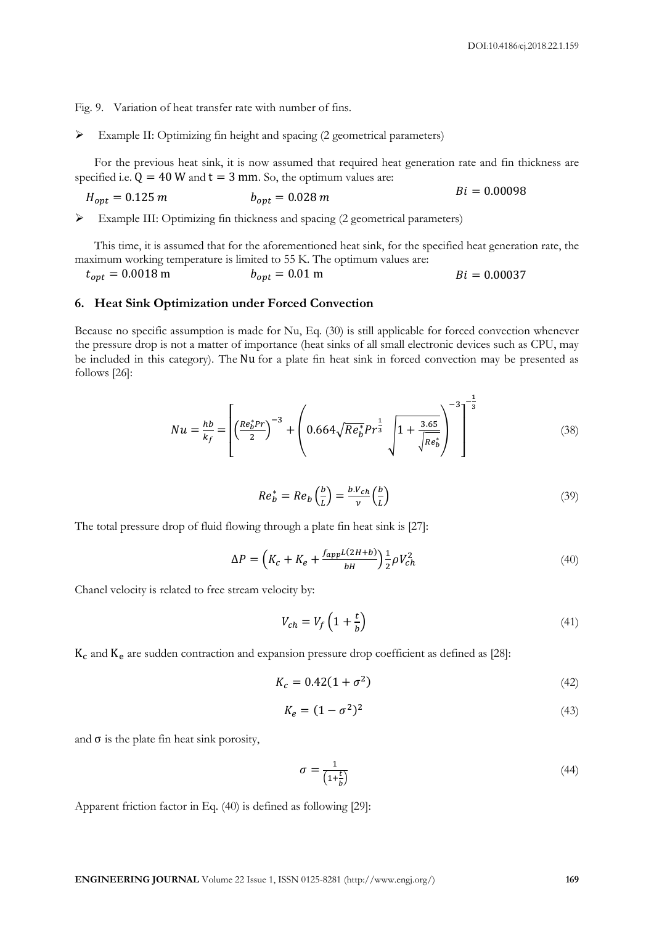Fig. 9. Variation of heat transfer rate with number of fins.

Example II: Optimizing fin height and spacing (2 geometrical parameters)

For the previous heat sink, it is now assumed that required heat generation rate and fin thickness are specified i.e.  $Q = 40$  W and  $t = 3$  mm. So, the optimum values are:

$$
H_{opt} = 0.125 \, m \qquad \qquad b_{opt} = 0.028 \, m \qquad \qquad Bi = 0.00098
$$

Example III: Optimizing fin thickness and spacing (2 geometrical parameters)

This time, it is assumed that for the aforementioned heat sink, for the specified heat generation rate, the maximum working temperature is limited to 55 K. The optimum values are:

 $t_{opt} = 0.0018 \text{ m}$   $b_{opt} = 0.01 \text{ m}$   $Bi = 0.00037$ 

#### **6. Heat Sink Optimization under Forced Convection**

Because no specific assumption is made for Nu, Eq. (30) is still applicable for forced convection whenever the pressure drop is not a matter of importance (heat sinks of all small electronic devices such as CPU, may be included in this category). The Nu for a plate fin heat sink in forced convection may be presented as follows [26]:

$$
Nu = \frac{hb}{k_f} = \left[ \left( \frac{Re_b^* Pr}{2} \right)^{-3} + \left( 0.664 \sqrt{Re_b^* Pr^{\frac{1}{3}}} \sqrt{1 + \frac{3.65}{\sqrt{Re_b^*}}} \right)^{-3} \right]^{-\frac{1}{3}}
$$
(38)

$$
Re_b^* = Re_b \left(\frac{b}{L}\right) = \frac{b.V_{ch}}{v} \left(\frac{b}{L}\right)
$$
\n(39)

The total pressure drop of fluid flowing through a plate fin heat sink is [27]:

$$
\Delta P = \left( K_c + K_e + \frac{f_{app}L(2H+b)}{bH} \right) \frac{1}{2} \rho V_{ch}^2 \tag{40}
$$

Chanel velocity is related to free stream velocity by:

$$
V_{ch} = V_f \left( 1 + \frac{t}{b} \right) \tag{41}
$$

 $K_c$  and  $K_e$  are sudden contraction and expansion pressure drop coefficient as defined as [28]:

$$
K_c = 0.42(1 + \sigma^2) \tag{42}
$$

$$
K_e = (1 - \sigma^2)^2 \tag{43}
$$

and  $\sigma$  is the plate fin heat sink porosity,

$$
\sigma = \frac{1}{\left(1 + \frac{t}{b}\right)}\tag{44}
$$

Apparent friction factor in Eq. (40) is defined as following [29]: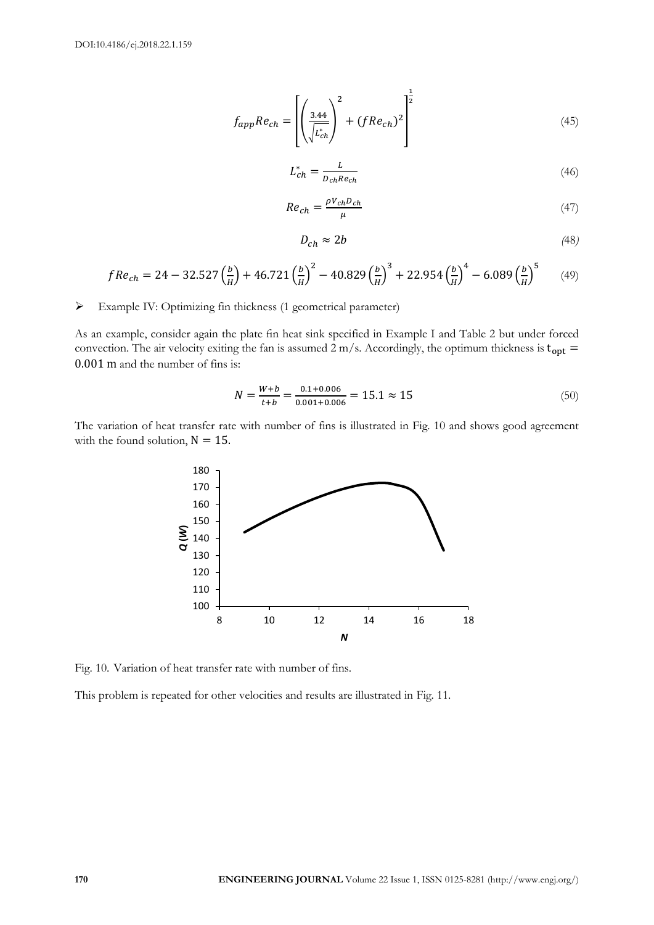$$
f_{app}Re_{ch} = \left[ \left( \frac{3.44}{\sqrt{L_{ch}^{*}} \right)^{2} + (fRe_{ch})^{2}} \right]^{\frac{1}{2}}
$$
(45)

$$
L_{ch}^{*} = \frac{L}{D_{ch} Re_{ch}}
$$
\n<sup>(46)</sup>

$$
Re_{ch} = \frac{\rho V_{ch} D_{ch}}{\mu} \tag{47}
$$

$$
D_{ch} \approx 2b \tag{48}
$$

$$
fRe_{ch} = 24 - 32.527 \left(\frac{b}{H}\right) + 46.721 \left(\frac{b}{H}\right)^2 - 40.829 \left(\frac{b}{H}\right)^3 + 22.954 \left(\frac{b}{H}\right)^4 - 6.089 \left(\frac{b}{H}\right)^5 \tag{49}
$$

Example IV: Optimizing fin thickness (1 geometrical parameter)

As an example, consider again the plate fin heat sink specified in Example I and Table 2 but under forced convection. The air velocity exiting the fan is assumed 2 m/s. Accordingly, the optimum thickness is  $t_{opt}$  = 0.001 m and the number of fins is:

$$
N = \frac{W + b}{t + b} = \frac{0.1 + 0.006}{0.001 + 0.006} = 15.1 \approx 15
$$
\n(50)

The variation of heat transfer rate with number of fins is illustrated in Fig. 10 and shows good agreement with the found solution,  $N = 15$ .



Fig. 10. Variation of heat transfer rate with number of fins.

This problem is repeated for other velocities and results are illustrated in Fig. 11.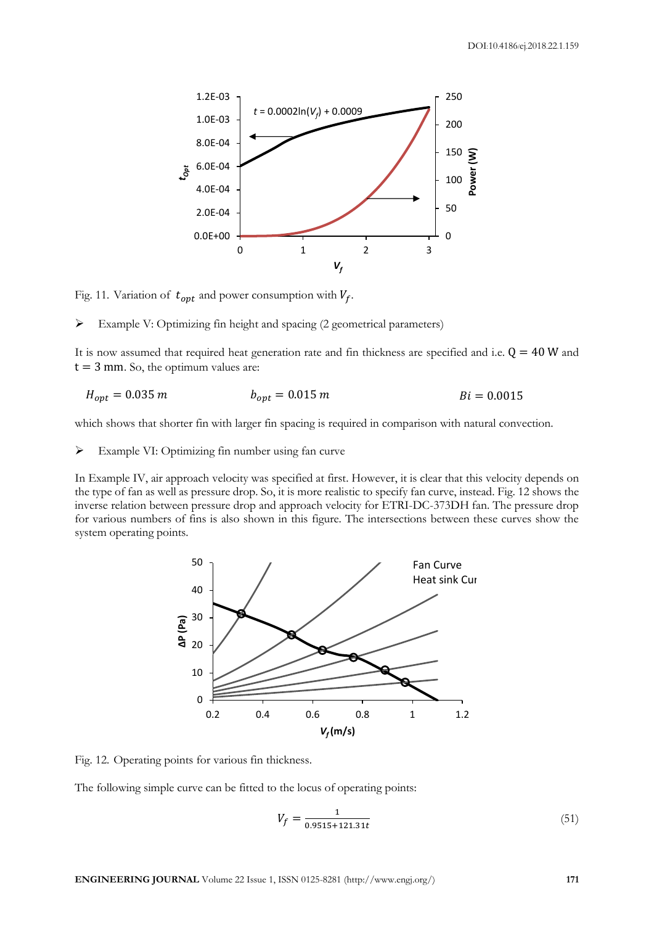

Fig. 11. Variation of  $t_{\text{ont}}$  and power consumption with  $V_f$ .

Example V: Optimizing fin height and spacing (2 geometrical parameters)

It is now assumed that required heat generation rate and fin thickness are specified and i.e.  $Q = 40$  W and  $t = 3$  mm. So, the optimum values are:

$$
H_{opt} = 0.035 \, m \qquad \qquad b_{opt} = 0.015 \, m \qquad \qquad Bi = 0.0015
$$

which shows that shorter fin with larger fin spacing is required in comparison with natural convection.

Example VI: Optimizing fin number using fan curve

In Example IV, air approach velocity was specified at first. However, it is clear that this velocity depends on the type of fan as well as pressure drop. So, it is more realistic to specify fan curve, instead. Fig. 12 shows the inverse relation between pressure drop and approach velocity for ETRI-DC-373DH fan. The pressure drop for various numbers of fins is also shown in this figure. The intersections between these curves show the system operating points.



Fig. 12. Operating points for various fin thickness.

The following simple curve can be fitted to the locus of operating points:

$$
V_f = \frac{1}{0.9515 + 121.31t} \tag{51}
$$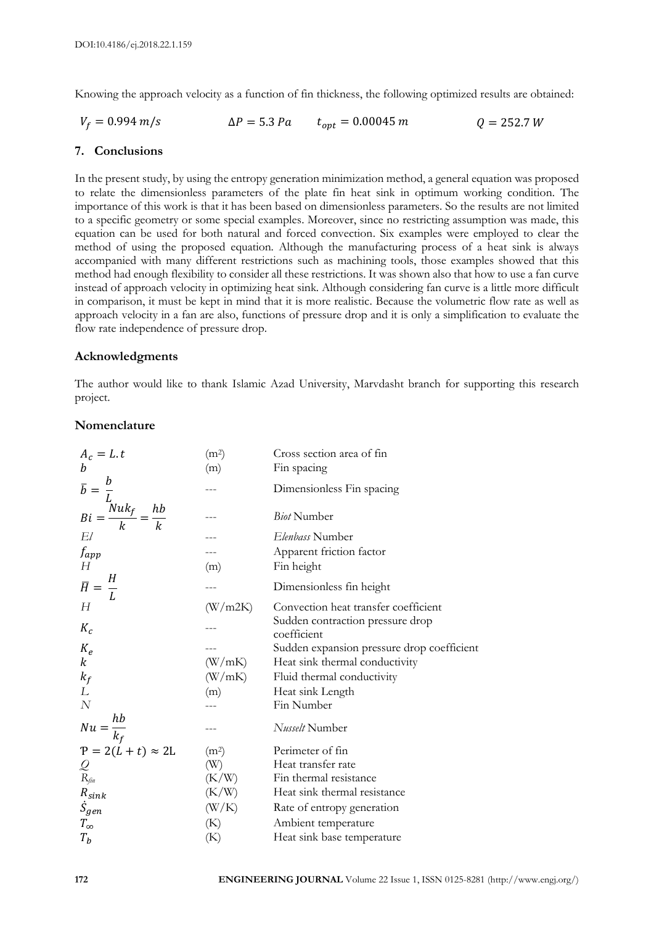Knowing the approach velocity as a function of fin thickness, the following optimized results are obtained:

$$
V_f = 0.994 \, m/s \qquad \Delta P = 5.3 \, Pa \qquad t_{opt} = 0.00045 \, m \qquad Q = 252.7 \, W
$$

# **7. Conclusions**

In the present study, by using the entropy generation minimization method, a general equation was proposed to relate the dimensionless parameters of the plate fin heat sink in optimum working condition. The importance of this work is that it has been based on dimensionless parameters. So the results are not limited to a specific geometry or some special examples. Moreover, since no restricting assumption was made, this equation can be used for both natural and forced convection. Six examples were employed to clear the method of using the proposed equation. Although the manufacturing process of a heat sink is always accompanied with many different restrictions such as machining tools, those examples showed that this method had enough flexibility to consider all these restrictions. It was shown also that how to use a fan curve instead of approach velocity in optimizing heat sink. Although considering fan curve is a little more difficult in comparison, it must be kept in mind that it is more realistic. Because the volumetric flow rate as well as approach velocity in a fan are also, functions of pressure drop and it is only a simplification to evaluate the flow rate independence of pressure drop.

# **Acknowledgments**

The author would like to thank Islamic Azad University, Marvdasht branch for supporting this research project.

# **Nomenclature**

| $A_c = L.t$                                                           | (m <sup>2</sup> ) | Cross section area of fin                       |
|-----------------------------------------------------------------------|-------------------|-------------------------------------------------|
| $\boldsymbol{b}$                                                      | (m)               | Fin spacing                                     |
|                                                                       |                   | Dimensionless Fin spacing                       |
| $\overline{b} = \frac{b}{L}$<br>$Bi = \frac{Nuk_f}{k} = \frac{hb}{k}$ |                   | <b>Biot Number</b>                              |
| El                                                                    |                   | Elenbass Number                                 |
| f <sub>app</sub><br>H                                                 |                   | Apparent friction factor                        |
|                                                                       | (m)               | Fin height                                      |
| $\overline{H} = \frac{H}{L}$                                          |                   | Dimensionless fin height                        |
| Н                                                                     | (W/m2K)           | Convection heat transfer coefficient            |
| $K_c$                                                                 |                   | Sudden contraction pressure drop<br>coefficient |
| $K_e$                                                                 |                   | Sudden expansion pressure drop coefficient      |
| $\boldsymbol{k}$                                                      | (W/mK)            | Heat sink thermal conductivity                  |
| $k_f$                                                                 | (W/mK)            | Fluid thermal conductivity                      |
| L                                                                     | (m)               | Heat sink Length                                |
| $\boldsymbol{N}$                                                      |                   | Fin Number                                      |
| $Nu = \frac{hb}{k_f}$                                                 |                   | Nusselt Number                                  |
| $P = 2(L + t) \approx 2L$                                             | (m <sup>2</sup> ) | Perimeter of fin                                |
|                                                                       | (W)               | Heat transfer rate                              |
| Q<br>R <sub>fin</sub>                                                 | (K/W)             | Fin thermal resistance                          |
| $R_{sink}$                                                            | (K/W)             | Heat sink thermal resistance                    |
| $\dot{S}_{gen}$                                                       | (W/K)             | Rate of entropy generation                      |
| $T_\infty$                                                            | (K)               | Ambient temperature                             |
| $T_b$                                                                 | (K)               | Heat sink base temperature                      |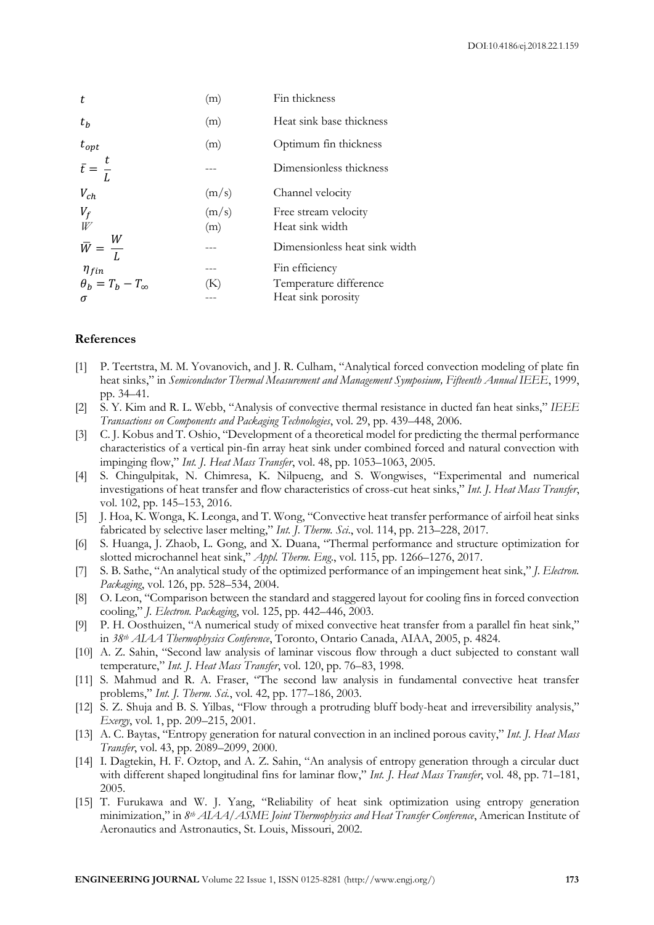| t                                                  | (m)          | Fin thickness                                                  |
|----------------------------------------------------|--------------|----------------------------------------------------------------|
| $t_{h}$                                            | (m)          | Heat sink base thickness                                       |
| $t_{opt}$                                          | (m)          | Optimum fin thickness                                          |
| $\bar{t} = \frac{t}{L}$                            |              | Dimensionless thickness                                        |
| $V_{ch}$                                           | (m/s)        | Channel velocity                                               |
| $V_f$                                              | (m/s)<br>(m) | Free stream velocity<br>Heat sink width                        |
| $\bar{W} = \frac{W}{L}$                            |              | Dimensionless heat sink width                                  |
| $\eta_{fin}$<br>$\theta_b = T_b - T_{\infty}$<br>σ | (K)          | Fin efficiency<br>Temperature difference<br>Heat sink porosity |

## **References**

- [1] P. Teertstra, M. M. Yovanovich, and J. R. Culham, "Analytical forced convection modeling of plate fin heat sinks," in *Semiconductor Thermal Measurement and Management Symposium, Fifteenth Annual IEEE*, 1999, pp. 34–41.
- [2] S. Y. Kim and R. L. Webb, "Analysis of convective thermal resistance in ducted fan heat sinks," *IEEE Transactions on Components and Packaging Technologies*, vol. 29, pp. 439–448, 2006.
- [3] C. J. Kobus and T. Oshio, "Development of a theoretical model for predicting the thermal performance characteristics of a vertical pin-fin array heat sink under combined forced and natural convection with impinging flow," *Int. J. Heat Mass Transfer*, vol. 48, pp. 1053–1063, 2005.
- [4] S. Chingulpitak, N. Chimresa, K. Nilpueng, and S. Wongwises, "Experimental and numerical investigations of heat transfer and flow characteristics of cross-cut heat sinks," *Int. J. Heat Mass Transfer*, vol. 102, pp. 145–153, 2016.
- [5] J. Hoa, K. Wonga, K. Leonga, and T. Wong, "Convective heat transfer performance of airfoil heat sinks fabricated by selective laser melting," *Int. J. Therm. Sci*., vol. 114, pp. 213–228, 2017.
- [6] S. Huanga, J. Zhaob, L. Gong, and X. Duana, "Thermal performance and structure optimization for slotted microchannel heat sink," *Appl. Therm. Eng*., vol. 115, pp. 1266–1276, 2017.
- [7] S. B. Sathe, "An analytical study of the optimized performance of an impingement heat sink," *J. Electron. Packaging*, vol. 126, pp. 528–534, 2004.
- [8] O. Leon, "Comparison between the standard and staggered layout for cooling fins in forced convection cooling," *J. Electron. Packaging*, vol. 125, pp. 442–446, 2003.
- [9] P. H. Oosthuizen, "A numerical study of mixed convective heat transfer from a parallel fin heat sink," in *38th AIAA Thermophysics Conference*, Toronto, Ontario Canada, AIAA, 2005, p. 4824.
- [10] A. Z. Sahin, "Second law analysis of laminar viscous flow through a duct subjected to constant wall temperature," *Int. J. Heat Mass Transfer*, vol. 120, pp. 76–83, 1998.
- [11] S. Mahmud and R. A. Fraser, "The second law analysis in fundamental convective heat transfer problems," *Int. J. Therm. Sci.*, vol. 42, pp. 177–186, 2003.
- [12] S. Z. Shuja and B. S. Yilbas, "Flow through a protruding bluff body-heat and irreversibility analysis," *Exergy*, vol. 1, pp. 209–215, 2001.
- [13] A. C. Baytas, "Entropy generation for natural convection in an inclined porous cavity," *Int. J. Heat Mass Transfer*, vol. 43, pp. 2089–2099, 2000.
- [14] I. Dagtekin, H. F. Oztop, and A. Z. Sahin, "An analysis of entropy generation through a circular duct with different shaped longitudinal fins for laminar flow," *Int. J. Heat Mass Transfer*, vol. 48, pp. 71–181, 2005.
- [15] T. Furukawa and W. J. Yang, "Reliability of heat sink optimization using entropy generation minimization," in *8th AIAA/ASME Joint Thermophysics and Heat Transfer Conference*, American Institute of Aeronautics and Astronautics, St. Louis, Missouri, 2002.